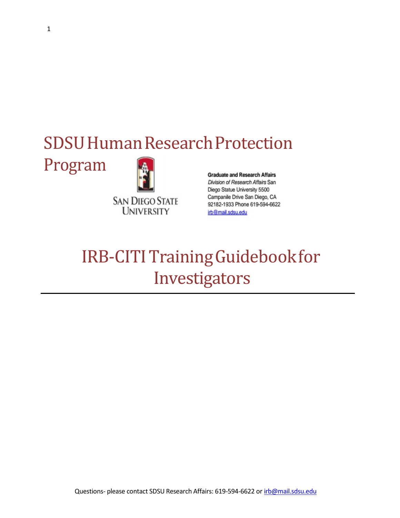# SDSU Human Research Protection

Program



**Graduate and Research Affairs** Division of Research Affairs San Diego Statue University 5500 Campanile Drive San Diego, CA 92182-1933 Phone 619-594-6622 irb@mail.sdsu.edu

## IRB-CITI Training Guidebook for Investigators

Questions- please contact SDSU Research Affairs: 619-594-6622 or [irb@mail.sdsu.edu](mailto:irb@mail.sdsu.edu)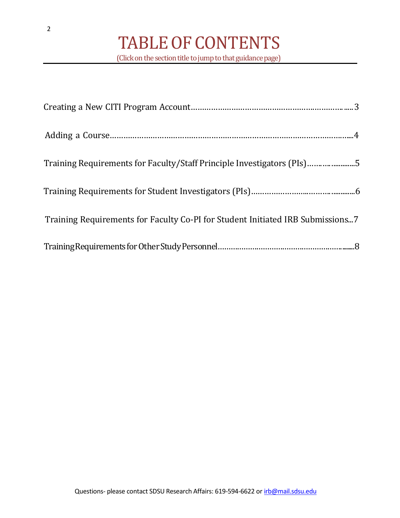| Training Requirements for Faculty/Staff Principle Investigators (PIs)5         |
|--------------------------------------------------------------------------------|
|                                                                                |
| Training Requirements for Faculty Co-PI for Student Initiated IRB Submissions7 |
|                                                                                |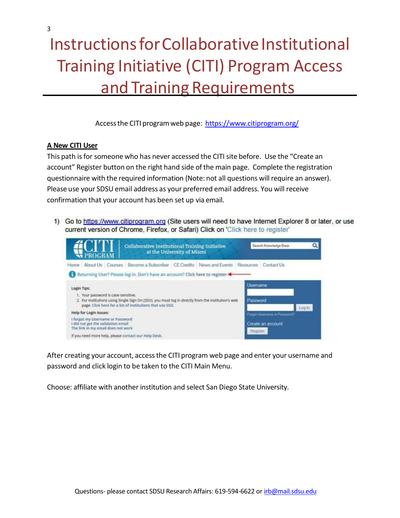## <span id="page-2-0"></span>Instructions for Collaborative Institutional Training Initiative (CITI) Program Access and Training Requirements

Accessthe CITI programweb page: <https://www.citiprogram.org/>

#### **A New CITI User**

This path is for someone who has never accessed the CITI site before. Use the "Create an account" Register button on the right hand side ofthe main page. Complete the registration questionnaire with the required information (Note: not all questions will require an answer). Please use your SDSU email address as your preferred email address. You will receive confirmation that your account has been set up via email.

1) Go to https://www.citiprogram.org (Site users will need to have Internet Explorer 8 or later, or use current version of Chrome, Firefox, or Safari) Click on 'Click here to register'



After creating your account, accessthe CITI program web page and enter your username and password and click login to be taken to the CITI Main Menu.

Choose: affiliate with another institution and select San Diego State University.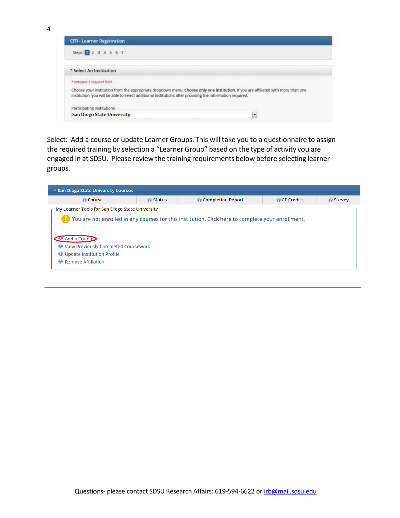4

| <b>CITI - Learner Registration</b>                                                                                                                                                                                                             |   |
|------------------------------------------------------------------------------------------------------------------------------------------------------------------------------------------------------------------------------------------------|---|
| Steps: 1 2 3 4 5 6 7                                                                                                                                                                                                                           |   |
| * Select An Institution                                                                                                                                                                                                                        |   |
| * Indicates a required field.                                                                                                                                                                                                                  |   |
| Choose your institution from the appropriate dropdown menu. Choose only one institution. If you are affiliated with more than one<br>institution, you will be able to select additional institutions after providing the information required. |   |
| Participating Institutions                                                                                                                                                                                                                     |   |
| <b>San Diego State University</b>                                                                                                                                                                                                              | ۰ |

<span id="page-3-0"></span>Select: Add a course or update Learner Groups. This will take you to a questionnaire to assign the required training by selection a "Learner Group" based on the type of activity you are engaged in at SDSU. Please review the training requirements below before selecting learner groups.

| ▼ San Diego State University Courses                                                                                                                 |        |                                                                                                       |              |        |
|------------------------------------------------------------------------------------------------------------------------------------------------------|--------|-------------------------------------------------------------------------------------------------------|--------------|--------|
| © Course                                                                                                                                             | Status | © Completion Report                                                                                   | © CE Credits | Survey |
| $-$ My Learner Tools for San Diego State University -                                                                                                |        |                                                                                                       |              |        |
| Add a Course<br><b>Wiew Previously Completed Coursework</b><br><b>Update Institution Profile</b><br>◉<br><b>Remove Affiliation</b><br>$\circledcirc$ |        | The You are not enrolled in any courses for this institution. Click here to complete your enrollment. |              |        |
|                                                                                                                                                      |        |                                                                                                       |              |        |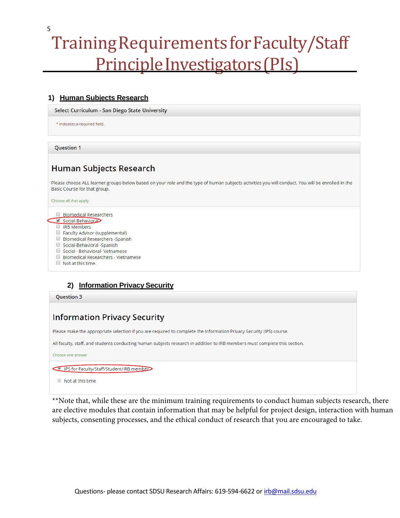## Training Requirements for Faculty/Staff Principle Investigators (PIs)

#### 1) Human Subjects Research

Select Curriculum - San Diego State University

\* indicates a required field.

**Question 1** 

<span id="page-4-0"></span>5

## **Human Subjects Research**

Please choose ALL learner groups below based on your role and the type of human subjects activities you will conduct. You will be enrolled in the Basic Course for that group.

Choose all that apply

#### Biomedical Researchers

- Social-Behavioral
- RB Members
- Faculty Advisor (supplemental)
- Biomedical Researchers Spanish
- Social-Behavioral -Spanish
- Social Behavioral- Vetnamese
- Biomedical Researchers Vietnamese
- $\Box$  Not at this time.

### 2) Information Privacy Security

**Ouestion 3** 

### **Information Privacy Security**

Please make the appropriate selection if you are required to complete the Information Privacy Security (IPS) course.

All faculty, staff, and students conducting human subjects research in addition to IRB members must complete this section.

Choose one answer

IPS for Faculty/Staff/Student/IRB member

 $\circ$  Not at this time.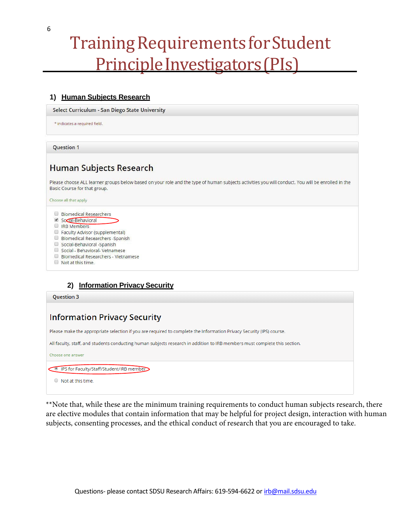## Training Requirements for Student Principle Investigators (PIs)

### 1) Human Subjects Research

Select Curriculum - San Diego State University

\* indicates a required field

**Question 1** 

<span id="page-5-0"></span>6

## **Human Subjects Research**

Please choose ALL learner groups below based on your role and the type of human subjects activities you will conduct. You will be enrolled in the Basic Course for that group.

Choose all that apply

- Biomedical Researchers
- Social-Behavioral
- RB Members
- Faculty Advisor (supplemental)
- □ Biomedical Researchers -Spanish
- Social-Behavioral -Spanish
- Social Behavioral- Vetnamese
- □ Biomedical Researchers Vietnamese
- Not at this time.

#### 2) Information Privacy Security

**Ouestion 3** 

### **Information Privacy Security**

Please make the appropriate selection if you are required to complete the Information Privacy Security (IPS) course.

All faculty, staff, and students conducting human subjects research in addition to IRB members must complete this section.

Choose one answer

IPS for Faculty/Staff/Student/IRB member

Not at this time.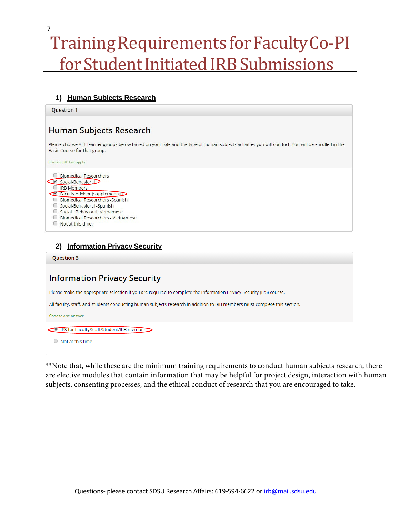# Training Requirements for Faculty Co-PI for Student Initiated IRB Submissions

#### **1) Human Subjects Research**

**Ouestion 1** 

<span id="page-6-0"></span>7

### **Human Subjects Research**

Please choose ALL learner groups below based on your role and the type of human subjects activities you will conduct. You will be enrolled in the Basic Course for that group.

Choose all that apply



### **2) Information Privacy Security**

**Ouestion 3** 

## **Information Privacy Security**

Please make the appropriate selection if you are required to complete the Information Privacy Security (IPS) course.

All faculty, staff, and students conducting human subjects research in addition to IRB members must complete this section.

Choose one answer

IPS for Faculty/Staff/Student/IRB member

 $\circ$  Not at this time.